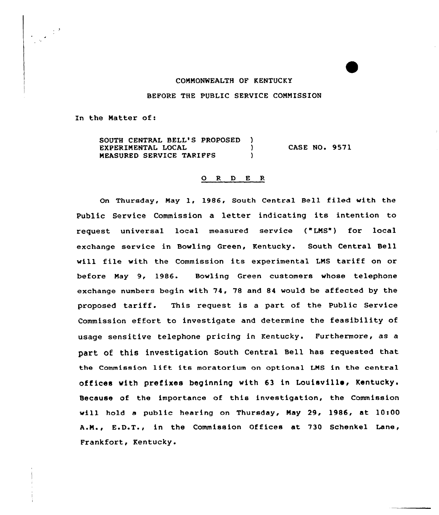## COMMONWEALTH OF KENTUCKY

## BEFORE THE PUBLIC SERVICE COMMISSION

In the Natter of:

SOUTH CENTRAL BELL'S PROPOSED ) EXPERIMENTAL LOCAL (1997)<br>
MEASURED SERVICE TARIFFS MEASURED SERVICE TARIFFS CASE NO. 9571

## 0 <sup>R</sup> <sup>D</sup> E <sup>R</sup>

On Thursday, Nay 1, 1986, South Central Bell filed with the Public Service Commission a letter indicating its intention to request. universal local measured service ("LNS") for local exchange service in Bowling Green, Kentucky. South Central Bell will file with the Commission its experimental LMS tariff on or before Nay 9, 1986. Bowling Green customers whose telephone exchange numbers begin with 74, 78 and 84 would be affected by the proposed tariff. This request is <sup>a</sup> part of the Public Service Commission effort to investigate and determine the feasibility of usage sensitive telephone pricing in Kentucky. Furthermore, as a part of this investigation South Central Bell has requested that the Commission lift its moratorium on optional LNS in the central offices with prefixes beginning with 63 in Louisville, Kentucky. Because of the importance of this investigation, the Commission will hold a public hearing on Thursday, May 29, 1986, at 10:00 A.N., E.D.T., in the Commission Offices at 730 Schenkel Lane, Frankfort, Kentucky.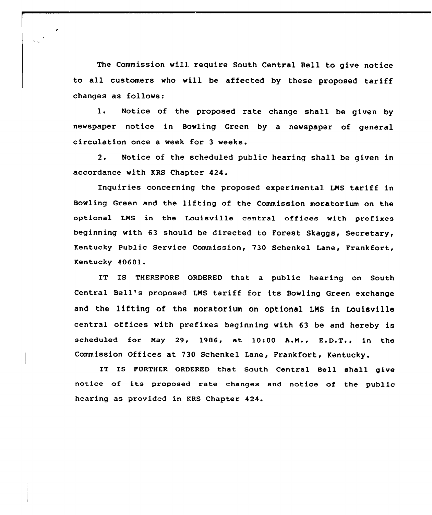The Commission will require South Central Bell to give notice to all customers who will be affected by these proposed tariff changes as follows:

1. Notice of the proposed rate change shall be given by newspaper notice in Bowling Green by a newspaper of general circulation once a week for 3 weeks.

2. Notice of the scheduled public hearing shall be given in accordance with KRS Chapter 424.

Inquiries concerning the proposed experimental LMS tariff in Bowling Green and the lifting of the Commission moratorium on the optional LMS in the Louisville central offices with prefixes beginning with 63 should be directed to Forest Skaggs, Secretary, Kentucky Public Service Commission, 730 Schenkel Lane, Frankfort, Kentucky 40601.

IT IS THEREFORE ORDERED that a public hearing on South Central Bell's proposed LMS tariff for its Bowling Green exchange and the lifting of the moratorium on optional LMS in Louisville central offices with prefixes beginning with 63 be and hereby is scheduled for May 29, 1986, at  $10:00$  A.M.,  $E.D.T.,$  in the Commission Offices at 730 Schenkel Lane, Frankfort, Kentucky.

IT IS FuRTHER ORDERED that South Central Bell shell give notice of its proposed rate changes and notice of the public hearing as provided in KRS Chapter 424.